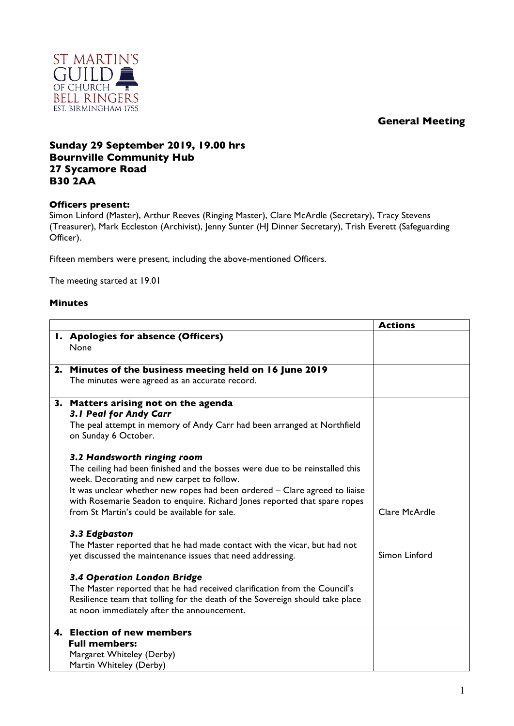## **General Meeting**



## **Sunday 29 September 2019, 19.00 hrs Bournville Community Hub 27 Sycamore Road B30 2AA**

## **Officers present:**

Simon Linford (Master), Arthur Reeves (Ringing Master), Clare McArdle (Secretary), Tracy Stevens (Treasurer), Mark Eccleston (Archivist), Jenny Sunter (HJ Dinner Secretary), Trish Everett (Safeguarding Officer).

Fifteen members were present, including the above-mentioned Officers.

The meeting started at 19.01

## **Minutes**

|                                                                                                 | <b>Actions</b> |
|-------------------------------------------------------------------------------------------------|----------------|
| I. Apologies for absence (Officers)                                                             |                |
| None                                                                                            |                |
|                                                                                                 |                |
| 2. Minutes of the business meeting held on 16 June 2019                                         |                |
| The minutes were agreed as an accurate record.                                                  |                |
|                                                                                                 |                |
| 3. Matters arising not on the agenda<br>3.1 Peal for Andy Carr                                  |                |
|                                                                                                 |                |
| The peal attempt in memory of Andy Carr had been arranged at Northfield<br>on Sunday 6 October. |                |
|                                                                                                 |                |
| 3.2 Handsworth ringing room                                                                     |                |
| The ceiling had been finished and the bosses were due to be reinstalled this                    |                |
| week. Decorating and new carpet to follow.                                                      |                |
| It was unclear whether new ropes had been ordered - Clare agreed to liaise                      |                |
| with Rosemarie Seadon to enquire. Richard Jones reported that spare ropes                       |                |
| from St Martin's could be available for sale.                                                   | Clare McArdle  |
| 3.3 Edgbaston                                                                                   |                |
| The Master reported that he had made contact with the vicar, but had not                        |                |
| yet discussed the maintenance issues that need addressing.                                      | Simon Linford  |
|                                                                                                 |                |
| 3.4 Operation London Bridge                                                                     |                |
| The Master reported that he had received clarification from the Council's                       |                |
| Resilience team that tolling for the death of the Sovereign should take place                   |                |
| at noon immediately after the announcement.                                                     |                |
| 4. Election of new members                                                                      |                |
| <b>Full members:</b>                                                                            |                |
| Margaret Whiteley (Derby)                                                                       |                |
| Martin Whiteley (Derby)                                                                         |                |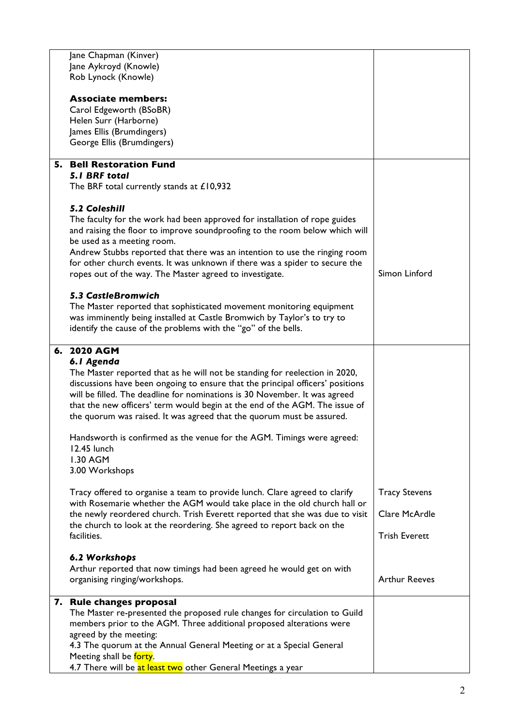| Jane Chapman (Kinver)<br>Jane Aykroyd (Knowle)                                                                                                            |                      |
|-----------------------------------------------------------------------------------------------------------------------------------------------------------|----------------------|
| Rob Lynock (Knowle)                                                                                                                                       |                      |
| <b>Associate members:</b>                                                                                                                                 |                      |
| Carol Edgeworth (BSoBR)<br>Helen Surr (Harborne)                                                                                                          |                      |
| James Ellis (Brumdingers)                                                                                                                                 |                      |
| George Ellis (Brumdingers)                                                                                                                                |                      |
| <b>5. Bell Restoration Fund</b><br><b>5.1 BRF total</b>                                                                                                   |                      |
| The BRF total currently stands at £10,932                                                                                                                 |                      |
| <b>5.2 Coleshill</b>                                                                                                                                      |                      |
| The faculty for the work had been approved for installation of rope guides<br>and raising the floor to improve soundproofing to the room below which will |                      |
| be used as a meeting room.<br>Andrew Stubbs reported that there was an intention to use the ringing room                                                  |                      |
| for other church events. It was unknown if there was a spider to secure the<br>ropes out of the way. The Master agreed to investigate.                    | Simon Linford        |
| <b>5.3 CastleBromwich</b>                                                                                                                                 |                      |
| The Master reported that sophisticated movement monitoring equipment                                                                                      |                      |
| was imminently being installed at Castle Bromwich by Taylor's to try to                                                                                   |                      |
| identify the cause of the problems with the "go" of the bells.                                                                                            |                      |
| 6. 2020 AGM                                                                                                                                               |                      |
| 6.1 Agenda<br>The Master reported that as he will not be standing for reelection in 2020,                                                                 |                      |
| discussions have been ongoing to ensure that the principal officers' positions                                                                            |                      |
| will be filled. The deadline for nominations is 30 November. It was agreed<br>that the new officers' term would begin at the end of the AGM. The issue of |                      |
| the quorum was raised. It was agreed that the quorum must be assured.                                                                                     |                      |
| Handsworth is confirmed as the venue for the AGM. Timings were agreed:                                                                                    |                      |
| 12.45 lunch                                                                                                                                               |                      |
| 1.30 AGM<br>3.00 Workshops                                                                                                                                |                      |
| Tracy offered to organise a team to provide lunch. Clare agreed to clarify                                                                                | <b>Tracy Stevens</b> |
| with Rosemarie whether the AGM would take place in the old church hall or<br>the newly reordered church. Trish Everett reported that she was due to visit | Clare McArdle        |
| the church to look at the reordering. She agreed to report back on the                                                                                    |                      |
| facilities.                                                                                                                                               | <b>Trish Everett</b> |
| 6.2 Workshops                                                                                                                                             |                      |
| Arthur reported that now timings had been agreed he would get on with<br>organising ringing/workshops.                                                    | <b>Arthur Reeves</b> |
|                                                                                                                                                           |                      |
| 7. Rule changes proposal                                                                                                                                  |                      |
| The Master re-presented the proposed rule changes for circulation to Guild<br>members prior to the AGM. Three additional proposed alterations were        |                      |
| agreed by the meeting:                                                                                                                                    |                      |
| 4.3 The quorum at the Annual General Meeting or at a Special General<br>Meeting shall be forty.                                                           |                      |
| 4.7 There will be at least two other General Meetings a year                                                                                              |                      |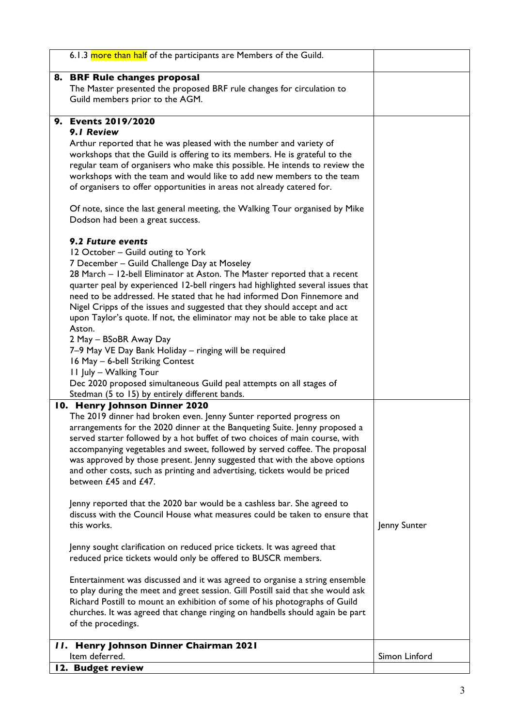| 6.1.3 more than half of the participants are Members of the Guild.                                                                                                                                                                                                                                                                                                                                                                                                                                                                                                                                                                                                                                                                                                                                                                                                                                                                                                                                                                                                                                                                                                                                            |               |
|---------------------------------------------------------------------------------------------------------------------------------------------------------------------------------------------------------------------------------------------------------------------------------------------------------------------------------------------------------------------------------------------------------------------------------------------------------------------------------------------------------------------------------------------------------------------------------------------------------------------------------------------------------------------------------------------------------------------------------------------------------------------------------------------------------------------------------------------------------------------------------------------------------------------------------------------------------------------------------------------------------------------------------------------------------------------------------------------------------------------------------------------------------------------------------------------------------------|---------------|
| 8. BRF Rule changes proposal<br>The Master presented the proposed BRF rule changes for circulation to<br>Guild members prior to the AGM.                                                                                                                                                                                                                                                                                                                                                                                                                                                                                                                                                                                                                                                                                                                                                                                                                                                                                                                                                                                                                                                                      |               |
| 9. Events 2019/2020                                                                                                                                                                                                                                                                                                                                                                                                                                                                                                                                                                                                                                                                                                                                                                                                                                                                                                                                                                                                                                                                                                                                                                                           |               |
| 9.1 Review<br>Arthur reported that he was pleased with the number and variety of<br>workshops that the Guild is offering to its members. He is grateful to the<br>regular team of organisers who make this possible. He intends to review the<br>workshops with the team and would like to add new members to the team<br>of organisers to offer opportunities in areas not already catered for.                                                                                                                                                                                                                                                                                                                                                                                                                                                                                                                                                                                                                                                                                                                                                                                                              |               |
| Of note, since the last general meeting, the Walking Tour organised by Mike<br>Dodson had been a great success.                                                                                                                                                                                                                                                                                                                                                                                                                                                                                                                                                                                                                                                                                                                                                                                                                                                                                                                                                                                                                                                                                               |               |
| 9.2 Future events<br>12 October - Guild outing to York<br>7 December - Guild Challenge Day at Moseley<br>28 March - 12-bell Eliminator at Aston. The Master reported that a recent<br>quarter peal by experienced 12-bell ringers had highlighted several issues that<br>need to be addressed. He stated that he had informed Don Finnemore and<br>Nigel Cripps of the issues and suggested that they should accept and act<br>upon Taylor's quote. If not, the eliminator may not be able to take place at<br>Aston.<br>2 May - BSoBR Away Day<br>7-9 May VE Day Bank Holiday - ringing will be required<br>16 May - 6-bell Striking Contest<br>11 July - Walking Tour<br>Dec 2020 proposed simultaneous Guild peal attempts on all stages of<br>Stedman (5 to 15) by entirely different bands.                                                                                                                                                                                                                                                                                                                                                                                                              |               |
| 10. Henry Johnson Dinner 2020<br>The 2019 dinner had broken even. Jenny Sunter reported progress on<br>arrangements for the 2020 dinner at the Banqueting Suite. Jenny proposed a<br>served starter followed by a hot buffet of two choices of main course, with<br>accompanying vegetables and sweet, followed by served coffee. The proposal<br>was approved by those present. Jenny suggested that with the above options<br>and other costs, such as printing and advertising, tickets would be priced<br>between £45 and £47.<br>Jenny reported that the 2020 bar would be a cashless bar. She agreed to<br>discuss with the Council House what measures could be taken to ensure that<br>this works.<br>Jenny sought clarification on reduced price tickets. It was agreed that<br>reduced price tickets would only be offered to BUSCR members.<br>Entertainment was discussed and it was agreed to organise a string ensemble<br>to play during the meet and greet session. Gill Postill said that she would ask<br>Richard Postill to mount an exhibition of some of his photographs of Guild<br>churches. It was agreed that change ringing on handbells should again be part<br>of the procedings. | Jenny Sunter  |
| 11. Henry Johnson Dinner Chairman 2021<br>Item deferred.                                                                                                                                                                                                                                                                                                                                                                                                                                                                                                                                                                                                                                                                                                                                                                                                                                                                                                                                                                                                                                                                                                                                                      | Simon Linford |
| 12. Budget review                                                                                                                                                                                                                                                                                                                                                                                                                                                                                                                                                                                                                                                                                                                                                                                                                                                                                                                                                                                                                                                                                                                                                                                             |               |